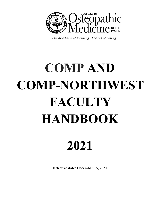

The discipline of learning. The art of caring.

# **COMP AND COMP-NORTHWEST FACULTY HANDBOOK**

# **2021**

**Effective date: December 15, 2021**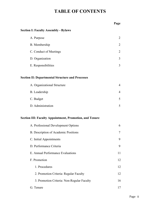# **TABLE OF CONTENTS**

|                                                                | Page           |
|----------------------------------------------------------------|----------------|
| <b>Section I: Faculty Assembly - Bylaws</b>                    |                |
| A. Purpose                                                     | 2              |
| B. Membership                                                  | 2              |
| C. Conduct of Meetings                                         | 2              |
| D. Organization                                                | 3              |
| E. Responsibilities                                            | 3              |
| <b>Section II: Departmental Structure and Processes</b>        |                |
| A. Organizational Structure                                    | $\overline{4}$ |
| B. Leadership                                                  | 4              |
| C. Budget                                                      | 5              |
| D. Administration                                              | 5              |
| <b>Section III: Faculty Appointment, Promotion, and Tenure</b> |                |
| A. Professional Development Options                            | 6              |
| B. Description of Academic Positions                           | 7              |
| C. Initial Appointments                                        | 9              |
| D. Performance Criteria                                        | 9              |
| E. Annual Performance Evaluations                              | 11             |
| F. Promotion                                                   | 12             |
| 1. Procedures                                                  | 12             |
| 2. Promotion Criteria: Regular Faculty                         | 12             |
| 3. Promotion Criteria: Non-Regular Faculty                     | 16             |
| G. Tenure                                                      | 17             |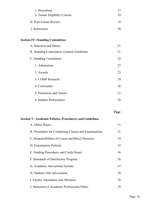| 1. Procedures                  |    |
|--------------------------------|----|
| 2. Tenure Eligibility Criteria | 18 |
| H. Post-Tenure Review          |    |
| I. Retirement                  |    |

#### **Section IV: Standing Committees**

| A. Selection and Duties                    | 21 |
|--------------------------------------------|----|
| B. Standing Committees: General Guidelines | 21 |
| C. Standing Committees                     | 22 |
| 1. Admissions                              | 22 |
| 2. Awards                                  | 23 |
| 3. COMP Research                           | 24 |
| 4. Curriculum                              | 26 |
| 5. Promotion and Tenure                    | 27 |
| 6. Student Performance                     | 28 |

**Page**

#### **Section V: Academic Policies, Procedures, and Guidelines**

| A. Office Hours                                       | 31 |
|-------------------------------------------------------|----|
| B. Procedures for Conducting Classes and Examinations | 31 |
| C. Responsibilities of Course and Block Directors     | 34 |
| D. Examination Policies                               | 35 |
| E. Grading Procedures and Credit Hours                | 36 |
| F. Standards of Satisfactory Progress                 | 36 |
| G. Academic Advisement System                         | 37 |
| H. Student Club Advisement                            | 38 |
| I. Faculty Attendance and Absences                    | 38 |
| J. Statement of Academic Professional Ethics          | 39 |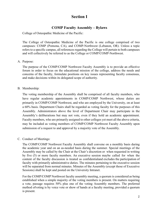# **Section I**

## **COMP Faculty Assembly – Bylaws**

College of Osteopathic Medicine of the Pacific:

The College of Osteopathic Medicine of the Pacific is one college comprised of two campuses: COMP (Pomona, CA), and COMP-Northwest (Lebanon, OR). Unless a topic refers to a specific campus, all references regarding the College will pertain to both campuses and will collectively be referred to as the College or COMP/COMP-Northwest.

#### A. Purpose:

The purpose of the COMP/COMP Northwest Faculty Assembly is to provide an effective forum in order to focus on the educational mission of the college, address the needs and concerns of the faculty, formulate positions on key issues representing faculty consensus, and make decisions within its delegated scope of authority.

#### B. Membership:

The voting membership of the Assembly shall be comprised of all faculty members, who have regular academic appointments in COMP/COMP Northwest, whose duties are primarily in COMP/COMP Northwest, and who are employed by the University, on at least a 60% basis. Department Chairs shall be regarded as voting faculty for the purposes of this Assembly. Administrators above the level of Department Chair may participate in the Assembly's deliberations but may not vote, even if they hold an academic appointment. Faculty members, who are primarily assigned to other colleges yet meet all the above criteria, may be included as voting members of COMP/COMP Northwest Faculty Assembly upon submission of a request to and approval by a majority vote of the Assembly.

#### C. Conduct of Meetings:

The COMP/COMP Northwest Faculty Assembly shall convene on a monthly basis during the academic year and on an as-needed basis during the summer. Special meetings of the Assembly may be called by the Chair at the Chair's discretion or when requested in writing by five (5) or more faculty members. An executive session maybe called for when the content of the faculty discussion is treated as confidentialand excludes the participation of faculty with primarily administrative duties. The minutes pertaining to the executive session will be separated from normal minutes. Minutes of the Assembly (except those of Executive Sessions) shall be kept and posted on the University Intranet.

For the COMP/COMP Northwest faculty assembly meeting, a quorum is considered as being established when a simple majority of the voting members is present. On matters requiring a vote, passage requires 50% plus one of the voting Assembly members. The preferred method ofvoting is by voice vote or show of hands at a faculty meeting, provided a quorum is present.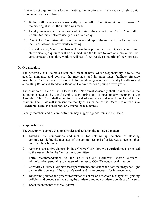If there is not a quorum at a faculty meeting, then motions will be voted on by electronic ballot, conducted as follows:

- 1. Ballots will be sent out electronically by the Ballot Committee within two weeks of the meeting at which the motion was made.
- 2. Faculty members will have one week to return their vote to the Chair of the Ballot Committee, either electronically or as a hard copy.
- 3. The Ballot Committee will count the votes and report the results to the faculty by email, and also at the next faculty meeting.
- 4. Since all voting faculty members will have the opportunity to participate in votes taken electronically, a quorum will be assumed, and the failure to vote on a motion will be considered an abstention. Motions will pass if they receive a majority of the votes cast.
- D. Organization:

The Assembly shall select a Chair on a biennial basis whose responsibility is to set the agenda, announce and convene the meetings, and in other ways facilitate effective assemblies. The Chair is also responsible for maintaining an updated Faculty Handbook and appointing Ballot and Handbook Revision Committees for a period of two years.

The position of Chair of the COMP/COMP Northwest Assembly shall be included in the balloting conducted by the Assembly each spring and is open to any member of the Assembly. The Chair shall serve for a period of two years and may be reelected to the position. The Chair will represent the faculty as a member of the Dean's Comprehensive Leadership Team and shall regularly attend those meetings.

Faculty members and/or administration may suggest agenda items to the Chair.

E. Responsibilities:

The Assembly is empowered to consider and act upon the following matters:

- 1. Establish the composition and method for determining members of standing committees, define the mandates of the committees and of taskforces as needed, then consider their findings.
- 2. Approve substantive changes in the COMP/COMP Northwest curriculum, as proposed to the Assembly by the Curriculum Committee.
- 3. Form recommendations to the COMP/COMP Northwest and/or WesternU administration pertaining to matters of interest to COMP's educational mission.
- 4. Consider COMP/COMP Northwest performance indicators and data that may shed light on the effectiveness of the faculty's work and make proposals for improvement.
- 5. Determine policies and procedures related to course or classroom management, grading policies, and procedures regarding the academic and non-academic conduct ofstudents.
- 6. Enact amendments to these Bylaws.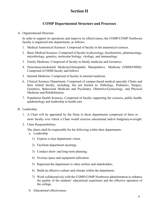# **Section II**

# **COMP Departmental Structure and Processes**

#### A. Organizational Structure

In order to support its operations and improve its effectiveness, the COMP/COMP Northwest faculty is organized into departments, as follows:

- 1. Medical Anatomical Sciences: Comprised of faculty in the anatomical sciences.
- 2. Basic Medical Sciences: Comprised of faculty in physiology, biochemistry, pharmacology, microbiology, genetics, molecular biology, virology, and immunology.
- 3. Family Medicine: Comprised of faculty in family medicine and Geriatrics.
- 4. Neuromusculoskeletal Medicine/Osteopathic Manipulative Medicine (NMM/OMM): Comprised of OMM faculty and fellows.
- 5. Internal Medicine: Comprised of faculty in internal medicine.
- 6. Clinical Sciences Department: Comprised of campus-based medical specialty Chairs and their related faculty, including, but not limited to: Pathology, Pediatrics, Surgery, Geriatrics, Behavioral Medicine and Psychiatry, Obstetrics/Gynecology, and Physical Medicine and Rehabilitation.
- 7. Population Health Sciences: Comprised of faculty supporting the sciences, public health, epidemiology and leadership in health care.
- B. Leadership:
	- 1. A Chair will be appointed by the Dean in those departments comprised of three or more faculty over which a Chair would exercise educational and/or budgetaryoversight.
	- 2. Chair Responsibilities.

The chairs shall be responsible for the following within their departments:

- a. Leadership
	- 1) Express a clear department vision.
	- 2) Facilitate department meetings.
	- 3) Conduct short- and long-term planning.
	- 4) Oversee space and equipment utilization.
	- 5) Represent the department to other entities and stakeholders.
	- 6) Build an effective culture and climate within the department.
	- 7) Work collaboratively with the COMP/COMP Northwest administration to enhance the quality of the students' educational experience and the effective operation of the college.
- b. Educational effectiveness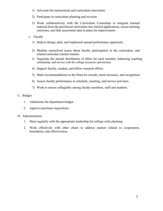- 1) Advocate for instructional and curriculum innovation.
- 2) Participate in curriculum planning and revision.
- 3) Work collaboratively with the Curriculum Committee to integrate learned material from the preclinical curriculum into clinical applications, assess learning outcomes, and link assessment data to plans for improvement.
- c. Faculty
	- 1) Help to design, plan, and implement annual performance appraisals.
	- 2) Mediate unresolved issues about faculty participation in the curriculum, and related curricular content matters.
	- 3) Negotiate the annual distribution of effort for each member, balancing teaching scholarship, and service with the college resources and mission.
	- 4) Support faculty, student, and fellow research efforts.
	- 5) Make recommendations to the Dean for awards, merit increases, and recognition.
	- 6) Assess faculty performance in scholarly, teaching, and service activities.
	- 7) Work to ensure collegiality among faculty members, staff and students.

#### C. Budget

- 1. Administer the department budget.
- 2. Approve purchase requisitions.

#### D. Administration

- 1. Meet regularly with the appropriate leadership for college-wide planning.
- 2. Work effectively with other chairs to address matters related to cooperation, boundaries, and effectiveness.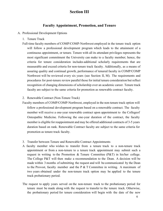# **Section III**

#### **Faculty Appointment, Promotion, and Tenure**

- A. Professional Development Options
	- 1. Tenure Track
	- Full-time faculty members of COMP/COMP-Northwest employed in the tenure track option will follow a professional development program which leads to the attainment of a continuous appointment, or tenure. Tenure with all its attendant privileges represents the most significant commitment the University can make to a faculty member; hence, the criteria for tenure consideration includes additional scholarly requirements that are measurable and exceed criteria for non-tenure track faculty. Additionally, as a means of assuring quality and continual growth, performance of tenured faculty in COMP/COMP Northwest will be reviewed every six years (see Section II, M). The requirements and procedures for post-tenure review parallel those for initial tenure consideration but reflect recognition of changing dimensions of scholarship over an academic career. Tenure track faculty are subject to the same criteria for promotion as renewable contract faculty.
	- 2. Renewable Contract (Non-Tenure Track)
	- Faculty members of COMP/COMP-Northwest, employed in the non-tenure track option will follow a professional development program based on a renewable contract. The faculty member will receive a one-year renewable contract upon appointment to the Collegeof Osteopathic Medicine. Following the one-year duration of the contract, the faculty member is eligible for reappointment and may be offered additional contracts of 3-5 years duration based on rank. Renewable Contract faculty are subject to the same criteria for promotion as tenure track faculty.
	- 3. Transfer between Tenure and Renewable Contract Appointments
	- A faculty member who wishes to transfer from a tenure track to a non-tenure track appointment or from a non-tenure to a tenure track appointment may submit such a request in writing to the Promotion & Tenure Committee ( $P\&T$ ) in his/her college. The College P&T will then make a recommendation to the Dean. A decision will be made within 3 months ofsubmitting the request and will be communicated by the Dean to the Provost, faculty member and the P & T Committee in writing. A maximum of two years obtained under the non-tenure track option may be applied to the tenure track probationary period.
	- The request to apply years served on the non-tenure track to the probationary period for tenure must be made along with the request to transfer to the tenure track. Otherwise, the probationary period for tenure consideration will begin with the date of the new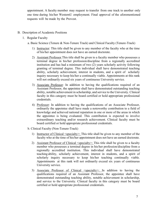appointment. A faculty member may request to transfer from one track to another only one time during his/her WesternU employment. Final approval of the aforementioned requests will be made by the Provost.

- B. Description of Academic Positions
	- 1. Regular Faculty
		- a. Basic Science (Tenure & Non-Tenure Track) and Clinical Faculty (Tenure-Track)
			- 1) Instructor: This title shall be given to any member of the faculty who at the time of his/her appointment does not have an earned doctorate.
			- 2) Assistant Professor This title shall be given to a faculty member who possesses a terminal degree in his/her profession/discipline from a regionally accredited institution and has had a minimum of two (2) years scholarly activity following granting of terminal degree. This individual shall have demonstrated teaching ability, scholarly achievement, interest in students, and a spirit of scholarly inquiry necessary to keep his/her e continually viable. Appointments at this rank will not ordinarily exceed six years of continuous University service.
			- 3) Associate Professor: In addition to having the qualifications required of an Assistant Professor, the appointee shall have demonstrated outstanding teaching ability, notable achievement in scholarship, and service to the University. Clinical faculty in this category must be board certified or hold appropriate professional credentials.
			- 4) Professor: In addition to having the qualifications of an Associate Professor, ordinarily the appointee shall have made a noteworthy contribution to a field of knowledge and achieved national reputation in one or more of the areas in which the appointee is being evaluated. This contribution is expected to involve extraordinary teaching and/or research achievement. Clinical faculty must be board certified or hold appropriate professional credentials.
		- b. Clinical Faculty (Non-Tenure-Track)
			- 1) Instructor of Clinical <specialty>: This title shall be given to any member of the faculty who at the time of his/her appointment does not have an earned doctorate.
			- 2) Assistant Professor of Clinical <specialty>: This title shall be given to a faculty member who possesses a terminal degree in his/her profession/discipline from a regionally accredited institution. This individual shall have demonstrated teaching ability, scholarly achievement, interest in students, and a spirit of scholarly inquiry necessary to keep his/her teaching continually viable. Appointments at this rank will not ordinarily exceed six years of continuous University service.
			- 3) Associate Professor of Clinical <specialty>: In addition to having the qualifications required of an Assistant Professor, the appointee shall have demonstrated outstanding teaching ability, notable achievement in scholarship, and service to the University. Clinical faculty in this category must be board certified or hold appropriate professional credentials.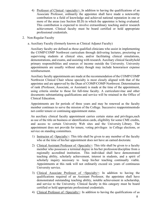- 4) Professor of Clinical <specialty>: In addition to having the qualifications of an Associate Professor, ordinarily the appointee shall have made a noteworthy contribution to a field of knowledge and achieved national reputation in one or more of the areas (see Section III.D) in which the appointee is being evaluated. This contribution is expected to involve extraordinary teaching and/or research achievement. Clinical faculty must be board certified or hold appropriate professional credentials.
- 2. Non-Regular Faculty
	- a. Auxiliary Faculty (formerly known as Clinical Adjunct Faculty)

Auxiliary faculty are defined as those qualified clinicians who assist in implementing the COMP/COMP Northwest curriculum through delivering lectures, proctoring or supervising students at clinical sites, and/or facilitating clinical simulations, demonstrations, and exams, and assisting with research. Auxiliary clinical facultyhold primary responsibilities and sources of income outside the University. University appointments are usually without salary though may include honorariaor expense reimbursement.

Auxiliary faculty appointments are made at the recommendation of the COMP/COMP Northwest Clinical Chair whose specialty is most closely aligned with that of the appointee and are approved by the Dean of COMP/COMP-Northwest. Determination of rank (Professor, Associate, or Assistant) is made at the time of the appointment, using criteria similar to those for full-time faculty. A curriculumvitae and other documents substantiating qualifications and service will be retained in the Office of Clinical Education.

Appointments are for periods of three years and may be renewed as the faculty member continues to serve the mission of the College. Successive reappointmentsdo not confer tenure or continuing appointment status.

An auxiliary clinical faculty appointment carries certain status and privileges,such as use of the title on business or identification cards, eligibility for some CME credits, and access to certain University Web sites and the University Library. The appointment does not provide for tenure, voting privileges in College elections, or service on standing committees.

- 1) Instructor of <Specialty>: This title shall be given to any member of the faculty who at the time of his/her appointment does not have an earned doctorate.
- 2) Clinical Assistant Professor of <Specialty>: This title shall be given to a faculty member who possesses a terminal degree in his/her profession/discipline from a regionally accredited institution. This individual shall have demonstrated teaching ability, scholarly achievement, interest in students, and a spirit of scholarly inquiry necessary to keep his/her teaching continually viable. Appointments at this rank will not ordinarily exceed six years of continuous University service.
- 3) Clinical Associate Professor of <Specialty>: In addition to having the qualifications required of an Assistant Professor, the appointee shall have demonstrated outstanding teaching ability, notable achievement in scholarship, and service to the University. Clinical faculty in this category must be board certified or hold appropriate professional credentials.
- 4) Clinical Professor of <Specialty>: In addition to having the qualifications of an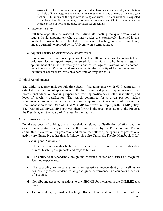Associate Professor, ordinarily the appointee shall have made a noteworthy contribution to a field of knowledge and achieved nationalreputation in one or more of the areas (see Section III.D) in which the appointee is being evaluated. This contribution is expected to involve extraordinary teaching and/or research achievement. Clinical faculty must be board certified or hold appropriate professional credentials.

b. Research Faculty

Full-time appointments reserved for individuals meeting the qualifications of a regular faculty appointment whose primary duties are extensively involved in the conduct of research, with limited involvement in teaching and service functions, and are currently employed by the University on a term contract.

c. Adjunct Faculty (Assistant/Associate/Professor)

Short-term (less than one year or less than 10 hours per week) contracted or volunteer faculty appointments reserved for individuals who have a regular appointment at another University or in another college of WesternU or in another department of COMP, who otherwise serve in the capacity of faculty members as lecturers or course instructors on a part-time or irregular basis.

#### C. Initial Appointments

The initial academic rank for full time faculty (including those with 60% contracts) is established at the time of appointment to the faculty and is dependent upon factors such as professional education, teaching experience, teaching proficiency at other institutions, and level of specialty certification. The search committee for a given position makes recommendations for initial academic rank to the appropriate Chair, who will forward the recommendation to the Dean of COMP/COMP-Northwest in keeping with COMP policy. The Dean of COMP/COMP-Northwest then forwards the recommendation to the Provost, the President, and the Board of Trustees for their action.

D. Performance Criteria

For the purposes of guiding annual negotiations related to distribution of effort and the evaluation of performance, (see section II L) and for use by the Promotion and Tenure committee in evaluation for promotion and tenure the following categories of professional activity are illustrative rather than definitive. [See also University Faculty Handbook II, L.]

- 1. Teaching and Assessment:
	- a. The effectiveness with which one carries out his/her lecture, seminar, lab,and/or clinical teaching assignments and responsibilities.
	- b. The ability to independently design and present a course or a series of integrated learning experiences.
	- c. The capability to prepare examination questions independently, as well as to competently assess student learning and grade performance in a course or a portion of a course.
	- d. Contributing accepted questions to the NBOME for inclusion in the COMLEX test bank.
	- e. Demonstration, by his/her teaching efforts, of orientation to the goals of the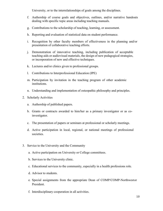University, or to the interrelationships of goals among the disciplines.

- f. Authorship of course goals and objectives, outlines, and/or narrative handouts dealing with specific topic areas including teaching manuals.
- g. Contributions to the scholarship of teaching, learning, or assessment.
- h. Reporting and evaluation of statistical data on student performance.
- i. Recognition by other faculty members of effectiveness in the planning and/or presentation of collaborative teaching efforts.
- j. Demonstration of innovative teaching, including publication of acceptable teaching aids or audiovisual materials, the design of new pedagogical strategies, or incorporation of new and effective techniques.
- k. Lectures and/or clinics given to professional groups.
- l. Contributions to Interprofessional Education (IPE)
- m. Participation by invitation in the teaching program of other academic institutions.
- n. Understanding and implementation of osteopathic philosophy and principles.
- 2. Scholarly Activities
	- a. Authorship of published papers.
	- b. Grants or contracts awarded to him/her as a primary investigator or as coinvestigator.
	- c. The presentation of papers or seminars at professional or scholarly meetings.
	- d. Active participation in local, regional, or national meetings of professional societies.
- 3. Service to the University and the Community
	- a. Active participation on University or College committees.
	- b. Services to the University clinic.
	- c. Educational services to the community, especially in a health professions role.
	- d. Advisor to students.
	- e. Special assignments from the appropriate Dean of COMP/COMP-Northwestor President.
	- f. Interdisciplinary cooperation in all activities.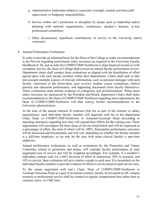- g. Administrative leadership related to curricular oversight, student activities,staff supervision, or budgetary responsibilities.
- h. Service within one's profession or discipline by means such as leadership and/or planning with national organizations, conferences, speaker's bureaus, or key professional committees.
- i. Other documented, significant contributions of service to the University and/or community.
- E. Annual Performance Evaluations

In order to provide an informed basis for the Dean of the College to make recommendations to the Provost regarding merit-based salary increases (as required in the University Faculty Handbook II, D), and in order for COMP/COMP-Northwest to align financial incentives with exemplary service, the Dean of College shall oversee an annual faculty performance review. Department chairs shall conduct these evaluations as aligned with the distribution of effort agreed upon with each faculty member within their departments. Chairs shall seek to take into account multiple sources of relevant information, such as personal dialogue with each faculty, classroom or lab observation, peer reviews, student course evaluations, clinical practice and education performance, and supporting documents from faculty themselves. These evaluations shall include evidence of collegiality and professionalism. When merit salary increases are announced by the President and Board, department Chairs shall make recommendations to the Dean of COMP/COMP-Northwest regarding merit adjustments; the Dean of COMP/COMP-Northwest will then convey his/her recommendations to the University administration.

At the time of the annual renewal of contracts (but not as part of the contract or salary negotiations), each individual faculty member will negotiate with his or her department Chair, Dean of COMP/COMP-Northwest or Assistant/Associate Dean (according to reporting structures) regarding how they will expend their efforts for the coming year. These negotiations will encompass the three areas of service listed below and will be expressed as a percentage of effort, the total of which will be 100%. Reasonable performance outcomes will be discussed and documented, and will vary depending on whether the faculty member is a full-time employee, or (as may be the case with some clinical faculty) a part-time employee.

Annual performance evaluations, as well as evaluations by the Promotion and Tenure Committee related to promotion and tenure, will consider faculty performance in each negotiated area of service and will be weighted accordingly. For example, if a member's individual contract calls for a 60% devotion of effort to instruction, 30% to research, and 10% to service, then evaluation will give relative weight to each area. It is incumbent on the individual faculty member to provide evidence of effective involvement in each service area.

To the extent negotiated with one's Chair, Dean of COMP/COMP-Northwest or Assistant/Associate Dean as a part of an annual contract, faculty involvement in off- campus research or professional service shall be counted as regular compensated time rather than as vacation, leave, or CME time.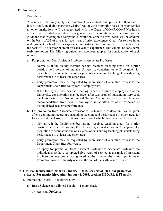#### F. Promotion

1. Procedures

A faculty member may apply for promotion to a specified rank, pursuant to their date of hire by notifying their department Chair. Credit toward promotion based on prior service at other institutions will be negotiated with the Dean of COMP/COMP-Northwest at the time of initial appointment. In general, such negotiations will be based on the guideline that teaching in a comparable institution, attheir current rank, will be credited on the basis of 2/3 of a year for each year of prior experience. Credit for service in an undergraduate school, or for experience in postdoctoral training, will be calculated on the basis of 1/3 of a year of credit for each year of experience. This will not be considered early promotion. The following guidelines have been adopted for consideration of such requests:

- a. For promotion from Assistant Professor to Associate Professor
	- 1) Normally, if the faculty member has not received teaching credit for a prior position held before joining the University, consideration will be given for promotion to occur at the end of six years of outstanding teaching plusoutstanding performance in at least one other area.
	- 2) Early promotion may be requested by submission of a written request to the Department Chair after four years of employment.
	- 3) If the faculty member has had teaching experience prior to employment at the University, consideration may be given after two years of outstanding service at the University. The Promotion and Tenure Committee may request lettersof recommendation from former employers in addition to other evidence of distinguished academic performance.
- b. For promotion from Associate Professor to Professor, consideration may be given after a continuing record of outstanding teaching and performance in other areas for four years at the Associate Professor rank, two of which must be at theUniversity.
	- 1) Normally, if the faculty member has not received teaching credit for a prior position held before joining the University, consideration will be given for promotion to occur at the end of six years of outstanding teaching plusoutstanding performance in at least one other area.
	- 2) Early promotion may be requested by submission of a written request to the Department Chair after four years.
	- 3) To apply for promotion from Assistant Professor to Associate Professor, the individual must have completed five years of service at the rank of Assistant Professor, unless credit was granted at the time of the initial appointment. Promotion would ordinarily occur at the end of the sixth year of service.

#### **NOTE: For faculty hired prior to January 1, 2005, see section III D for promotion criteria. For faculty hired after January 1, 2005, sections III D, F2, & F3 apply.**

- 2. Promotion Criteria Regular Faculty
	- a. Basic Science and Clinical Faculty Tenure Track
		- 1) Assistant Professor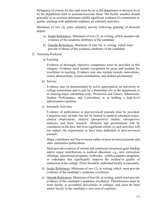Stringency of criteria for this rank must be set at the department or division level by the department chair or assistant/associate Dean. The faculty member should generally as an essential minimum exhibit significant evidence of commitment to quality teaching with additional emphasis on scholarly activities.

Minimum of two (2) years scholarly activity following granting of doctoral degree.

- a) Inside References: Minimum of two (2), in writing, which mustprovide evidence of the academic attributes of the candidate.
- b) Outside References: Minimum of four (4), in writing, which must provide evidence of the academic attributes of the candidate.
- 2) Associate Professor
	- a) Teaching

Evidence of thorough, objective competence must be provided in this category. Evidence must include recognition by peers and students for excellence in teaching. Evidence may also include awards, innovations, course directorships, system coordination, and student advisements.

b) Service

Evidence may be demonstrated by active participation on university or college committees and in part by a leadership role in the department or in chairing major committees (esp.: Promotion and Tenure, Admissions, Student Performance, and Curriculum) or in holding a high-level administrative position.

c) Scholarly Activities

Evidence of publications in peer-reviewed journals must be provided. Categories may include, but not be limited to medical education topics, clinical observations, analytic (prospective) studies, retrospective analyses, and basic research. Abstracts and presentations will be considered in the area, but even significant efforts in such activities will not replace the requirement to have been published in peer-reviewed journals.

Major contributor and first or senior author of peer-reviewed journals and other substantive publications.

Must provide evidence of current and continued extramural grant funding and/or major contributions to medical education; e.g., new curriculum offerings, educational programs, textbooks, syllabi,computer programs, or videotapes that significantly improve the method or quality of instruction at the college. These should be published locally or nationally.

- d) Inside References: Minimum of two (2), in writing, which must provide evidence of the candidate's academic excellence.
- e) Outside References: Minimum of four (4), in writing, which must provide evidence of the candidate's academic excellence. Thereferences must be from faculty at accredited universities or colleges, and must be from senior faculty in the candidate's own area of expertise.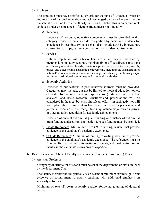#### 3) Professor

The candidate must have satisfied all criteria for the rank of Associate Professor and must be of national reputation and acknowledged by his or her peers within the salient discipline to be an authority in his or her field. This is an earned rank achieved under circumstances of demonstrated merit not longevity.

a) Teaching

Evidence of thorough, objective competence must be provided in this category. Evidence must include recognition by peers and students for excellence in teaching. Evidence may also include awards, innovations, course directorships, system coordination, and student advisements.

b) Service

National reputation within his or her field which may be indicated by memberships in study sections, membership or officer/director positions on advisory or editorial boards, prestigious professional societies, etc., awards, prizes, and other notable academic achievements, including the organization of national/internationalsymposiums or meetings, and chairing or showing major impact on institutional committees and community activities.

c) Scholarly Activities

Evidence of publications in peer-reviewed journals must be provided. Categories may include, but not be limited to medical education topics, clinical observations, analytic (prospective) studies, retrospective analyses, and basic research. Abstracts and presentations will be considered in the area, but even significant efforts in such activities will not replace the requirement to have been published in peer- reviewed journals. Evidence of peer recognition may include major awards, prizes, or other notable recognition for academic achievements.

Evidence of current extramural grant funding or a history of extramural grant funding and a current application for such funding must be provided.

- d) Inside References: Minimum of two (2), in writing, which must provide evidence of the candidate's academic excellence.
- e) Outside References: Minimum of four (4), in writing, which must provide evidence of the candidate's academic excellence. The references must be fromfaculty at accredited universities or colleges, and must be from senior faculty in the candidate's own area of expertise.
- b. Basic Science and Clinical Faculty Renewable Contract (Non-Tenure) Track
	- 1) Assistant Professor

Stringency of criteria for this rank must be set at the department or division level by the department Chair.

The faculty member should generally as an essential minimum exhibit significant evidence of commitment to quality teaching with additional emphasis on scholarly activities.

Minimum of two (2) years scholarly activity following granting of doctoral degree.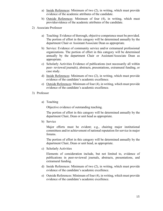- a) Inside References: Minimum of two (2), in writing, which must provide evidence of the academic attributes of the candidate.
- b) Outside References: Minimum of four (4), in writing, which must provideevidence of the academic attributes of the candidate.
- 2) Associate Professor
	- a) Teaching: Evidence of thorough, objective competence must be provided. The portion of effort in this category will be determined annually by the department Chair or Assistant/Associate Dean as appropriate.
	- b) Service: Evidence of community service and/or extramural professional organizations. The portion of effort in this category will be determined annually by the department Chair or Assistant/Associate Dean as appropriate.
	- c) Scholarly Activities Evidence of publications (not necessarily all within peer- reviewed journals), abstracts, presentations, extramural funding, or case study.
	- d) Inside References: Minimum of two (2), in writing, which must provide evidence of the candidate's academic excellence.
	- e) Outside References: Minimum of four (4), in writing, which must provide evidence of the candidate's academic excellence.
- 3) Professor
	- a) Teaching

Objective evidence of outstanding teaching.

The portion of effort in this category will be determined annually by the department Chair, Dean or unit head as appropriate.

b) Service

Major efforts must be evident; e.g., chairing major institutional committees and/or achievement of national reputation for service in major forums.

The portion of effort in this category will be determined annually by the department Chair, Dean or unit head, as appropriate.

c) Scholarly Activities

Elements of consideration include, but not limited to, evidence of publications in peer-reviewed journals, abstracts, presentations, and extramural funding.

- d) Inside References: Minimum of two (2), in writing, which must provide evidence of the candidate's academic excellence.
- e) Outside References: Minimum of four (4), in writing, which must provide evidence of the candidate's academic excellence.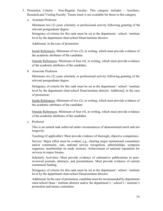- 3. Promotion Criteria Non-Regular Faculty: This category includes Auxiliary, Research,and Visiting Faculty. Tenure track is not available for those in this category
	- a. Assistant Professor

Minimum two (2) years scholarly or professional activity following granting of the relevant postgraduate degree.

Stringency of criteria for this rank must be set at the department / school / institute level by the department chair/school Dean/institute director.

Additional, in the case of promotion:

Inside References: Minimum of two (2), in writing, which must provide evidence of the academic attributes of the candidate.

Outside References: Minimum of four (4), in writing, which must provide evidence of the academic attributes of the candidate.

b. Associate Professor

Minimum two (2) years scholarly or professional activity following granting of the relevant postgraduate degree.

Stringency of criteria for this rank must be set at the department / school / institute level by the department chair/school Dean/institute director. Additional, in the case of promotion:

Inside References: Minimum of two (2), in writing, which must provide evidence of the academic attributes of the candidate.

Outside References: Minimum of four (4), in writing, which must provide evidence of the academic attributes of the candidate.

c. Professor

This is an earned rank achieved under circumstances of demonstrated merit and not longevity.

Teaching (if applicable): Must provide evidence of thorough, objective competence.

Service: Major effort must be evident; e.g., chairing major institutional committees and/or community, sate, national service recognition, editorialships, symposia organizer, membership on study sections. Achievement of national reputation for services in major forums.

Scholarly Activities: Must provide evidence of substantive publications in peerreviewed journals, abstracts, and presentations. Must provide evidence of current extramural funding.

Stringency of criteria for this rank must be set at the department / school / institute level by the department chair/school Dean/institute director.

Additional: In the case of promotion, candidate must be recommended by department chair/school Dean / institute director and/or the department's / school's / institute's promotion and tenure committee.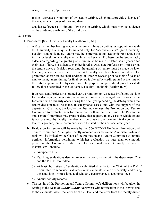Also, in the case of promotion:

Inside References: Minimum of two (2), in writing, which must provide evidence of the academic attributes of the candidate.

Outside References: Minimum of two (4), in writing, which must provide evidence of the academic attributes of the candidate.

#### G. Tenure

- 1. Procedures [See University Faculty Handbook II, M.]
	- a. A faculty member having academic tenure will have a continuous appointment with the University that may be terminated only for "adequate cause" (see University Faculty Handbook II, J). Tenure may be conferred at any academic rank above the instructor level. For a faculty member hired as Assistant Professor on the tenure track, a decision regarding the granting of tenure must be made no later than 6 years after their date of hire. For a faculty member hired as Associate Professor or Professor on the tenure track, a decision regarding the granting of tenure must be made no later than 4 years after their date of hire. All faculty members being considered for promotion and/or tenure shall undergo an interim review prior to their  $4<sup>th</sup>$  year of employment, unless timing for final review is altered by credit granted at the time of the initial appointment or by extension. The purpose and procedural guidelines shall follow those described in the University Faculty Handbook (Section II, M).

If an Assistant Professor is granted early promotion to Associate Professor, the date for the decision on the granting of tenure will remain unchanged. Formal evaluation for tenure will ordinarily occur during the final year preceding the date by which the tenure decision must be made. In exceptional cases, and with the support of the department Chairman, the faculty member may request the Promotion and Tenure Committee to evaluate them for tenure earlier than the usual time. The Promotion and Tenure Committee may grant or deny that request. In any case in which tenure is not granted, the faculty member will be given a one-year terminal contract. If tenure is granted, tenure commences with the start of the next academic year.

- b. Evaluation for tenure will be made by the COMP/COMP Northwest Promotion and Tenure Committee. An eligible faculty member, at or above the Associate Professor rank, will be invited by the Chair of the Promotion and Tenure Committee to submit pertinent information pertaining to his/her evaluation no later than one month preceding the Committee's due date for such materials. Ordinarily, requested materials will include:
	- 1) An updated C.V.
	- 2) Teaching evaluations deemed relevant in consultation with the department Chair and the P & T Committee.
	- 3) At least four letters of evaluation submitted directly to the Chair of the P  $&$  T Committee from outside evaluators in the candidate's field of specialty, addressing the candidate's professional and scholarly performance at a national level.
	- 4) Annual activity records
- c. The results of the Promotion and Tenure Committee's deliberations will be given in writing to the Dean of COMP/COMP-Northwest with notification to the Provost and to the candidate. Also, the letter from the Dean and the letter from the faculty direct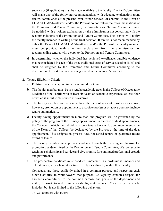supervisor (if applicable) shall be made available to the faculty. The  $P&T$  Committee will make one of the following recommendations with adequate explanation: grant tenure, continuance at the present level, or non-renewal of contract. If the Dean of COMP/COMP-Northwest and/or the Provost do not follow the recommendations of the Promotion and Tenure Committee, the Promotion and Tenure Committee must be notified with a written explanation by the administrator not concurring with the recommendations of the Promotion and Tenure Committee. The Provost will notify the faculty member in writing of the final decision. If tenure is not recommended by either the Dean of COMP/COMP-Northwest and/or the Provost the faculty member must be provided with a written explanation from the administrator not recommending tenure, with a copy to the Promotion and Tenure Committee.

- d. In determining whether the individual has achieved excellence, tangible evidence maybe considered in each of the three traditional areas of service (Section II, M) and shall be weighted by the Promotion and Tenure Committee according to the distribution of effort that has been negotiated in the member's contract.
- 2. Tenure Eligibility Criteria:
	- a. Full-time academic appointment is required for tenure.
	- b. The faculty member must be in a regular academic track in the College of Osteopathic Medicine of the Pacific with at least six years of academic experience, at least four of which is in full-time service at WesternU.
	- c. The faculty member normally must have the rank of associate professor or above; however, promotion or appointment to associate professor or above does not include tenure automatically.
	- d. Faculty having appointments in more than one program will be governed by the policy of the program of the primary appointment. In the case of dual appointments, the College in which the individual is on a tenure track will, upon recommendation of the Dean of that College, be designated by the Provost at the time of the dual appointment. This designation process does not award tenure or guarantee future award of tenure.
	- e. The faculty member must provide evidence through the existing mechanism for promotion, as determined by the Promotion and Tenure Committee, of excellence in teaching, scholarship and service and give promise for continued professional growth and performance.
	- f. The prospective candidate must conduct him/herself in a professional manner and exhibit collegiality when interacting directly or indirectly with fellow faculty.

Colleagues are those explicitly united in a common purpose and respecting each other's abilities to work toward that purpose. Collegiality connotes respect for another's commitment to the common purpose and goals of the department and ability to work toward it in a non-belligerent manner. Collegiality generally includes, but is not limited to the following behaviors:

1) Collaborates with others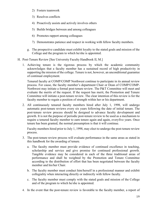- 2) Fosters teamwork
- 3) Resolves conflicts
- 4) Proactively assists and actively involves others
- 5) Builds bridges between and among colleagues
- 6) Promotes rapport among colleagues
- 7) Demonstrates patience and respect in working with fellow faculty members.
- g. The prospective candidate must exhibit loyalty to the stated goals and mission of the College and the program to which he/she is appointed.
- H. Post-Tenure Review [See University Faculty Handbook II, M.]
	- 1. Achieving tenure is the rigorous process by which the academic community acknowledges that a faculty member has a sustained record of high productivity in supporting the mission of the college. Tenure is not, however, an unconditional guarantee of continual employment.

Tenured faculty at COMP/COMP Northwest continue to participate in its annual review process. For cause, the faculty member's department Chair or Dean of COMP/COMP-Northwest may initiate a formal post-tenure review. The P&T Committee will meet and evaluate the merits of the request. If the request has merit, the Promotion and Tenure Committee will initiate a post-tenure review. The clear intention of this review is for the faculty member to regain a position of strength within her or his department.

2. All continuously tenured faculty members hired after July 1, 1998, will undergo automatic post-tenure reviews every six years following the date of initial tenure. The post-tenure review process should be designed to advance faculty development and growth. It is not the purpose of periodic post-tenure review to be used as a mechanism to require a tenured faculty member to earn tenure again and again, everyfive years. Once tenure has been granted, the normal presumption is that it will continue.

Faculty members hired prior to July 1, 1998, may elect to undergo the post-tenure review process.

- 3. The post-tenure review process will evaluate performance in the same areas as stated in this handbook for the awarding of tenure.
	- a. The faculty member must provide evidence of continued excellence in teaching, scholarship and service and give promise for continued professional growth. Tangible evidence may be considered in each of the three traditional areas of performance and shall be weighted by the Promotion and Tenure Committee according to the distribution of effort that has been negotiated between the faculty member and his/her Chair.
	- b. The faculty member must conduct him/herself in a professional manner and exhibit collegiality when interacting directly or indirectly with fellow faculty.
	- c. The faculty member must comply with the stated goals and mission of the College and of the program to which he/she is appointed.
- 4. In the event that the post-tenure review is favorable to the faculty member, a report of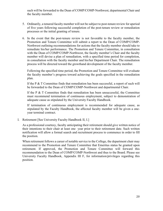such will be forwarded to the Dean of COMP/COMP-Northwest, departmental Chair and the faculty member.

- 5. Ordinarily, a tenured faculty member will not be subject to post-tenure review for aperiod of five years following successful completion of the post-tenure review or remediation processes or the initial granting of tenure.
- 6. In the event that the post-tenure review is not favorable to the faculty member, the Promotion and Tenure Committee will submit a report to the Dean of COMP/COMP-Northwest outlining recommendations for actions that the faculty member should take to remediate his/her performance. The Promotion and Tenure Committee, in consultation with the Dean of COMP/COMP-Northwest, the faculty member's Chair and the faculty member will devise a plan of remediation, with a specified time period for completion, in consultation with the faculty member and his/her Department Chair. The remediation process will be directed toward the growthand development of the faculty member.

Following the specified time period, the Promotion and Tenure Committee will evaluate the faculty member's progress toward achieving the goals specified in the remediation plan.

If the P & T Committee finds that remediation has been successful, a report of such will be forwarded to the Dean of COMP/COMP-Northwest and departmental Chair.

If the P & T Committee finds that remediation has been unsuccessful, the Committee must recommend termination of continuous employment, subject to demonstration of adequate cause as stipulated by the University Faculty Handbook.

If termination of continuous employment is recommended for adequate cause, as stipulated by the Faculty Handbook, the affected faculty member will be given a oneyear terminal contract.

I. Retirement [See University Faculty Handbook II, I.]

As a professional courtesy, faculty anticipating their retirement should give written notice of their intentions to their chair at least one year prior to their retirement date. Such written notification will allow a formal search and recruitment process to commence in order to fill the position.

When retirement follows a career of notable service to the College, the department chair may recommend to the Promotion and Tenure Committee that Emeritus status be granted upon retirement. If approved, the Promotion and Tenure Committee will forward this recommendation to the Dean of COMP/COMP-Northwest and thus to the Board. Please see University Faculty Handbook, Appendix III F, for information/privileges regarding this position.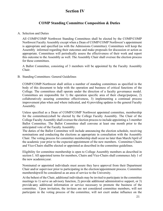# **Section IV**

### **COMP Standing Committee Composition & Duties**

#### A. Selection and Duties

All COMP/COMP Northwest Standing Committees shall be elected by the COMP/COMP Northwest Faculty Assembly except when a Dean of COMP/COMP Northwest's appointment is appropriate and specified (as with the Admissions Committee). Committees will keep the Assembly informed regarding their outcomes and make proposals for discussion or action as appropriate. Committees will periodically assess the effectiveness of their work and report this outcome to the Assembly as well. The Assembly Chair shall oversee the election process for these committees.

A Ballot Committee, consisting of 3 members will be appointed by the Faculty Assembly Chair.

B. Standing Committees: General Guidelines

COMP/COMP-Northwest shall utilize a number of standing committees as specified in the body of this document to help with the operation and business of critical functions of the College. The committees shall operate under the direction of a faculty governance model. Committees are responsible for 1) the operation specific area of their charge/purpose, 2) collaboratively assuring committee effectiveness, 3) implementing a continual process improvement plan when and where indicated, and 4) providing updates to the general Faculty Assembly.

Unless specified as a Dean of COMP/COMP Northwest appointed committee, membership for the committee(s)shall be elected by the College Faculty Assembly. The Chair of the College Faculty Assembly shall oversee the election process to include appointing a 3-member Ballot Committee. The Ballot Committee shall convene at least one month prior to the anticipated vote of the Faculty Assembly.

The duties of the Ballot Committee will include announcing the election schedule, receiving nominations and conducting the elections as appropriate in consultation with the Assembly Chair. The voting process for committee membership shall occur no later than March/April of the academic year prior to the expected appointment of the new members. Committee Chairs and Vice-Chairs shallbe elected or appointed as described in the committee guidelines.

Eligibility for committee membership is open to College Assembly members as described in section I. All appointed terms for members, Chairs and Vice-Chairs shall commence July 1 of the new academicyear.

Nominated or appointed individuals must assure they have approval from their Department Chair and/or supervisor prior to participating in the election/appointment process. Committee membershipwill be considered as an area of service to the University.

At the behest of the Chair, additional individuals may be invited to participate in the committee meetings to 1) serve an advisory function, 2) provide additional administrative support, or 3) provide cany additional information or service necessary to promote the business of the committee. Upon invitation, the invitees are not considered committee members, will not participate in the voting process of the committee, will not exert undue influence on the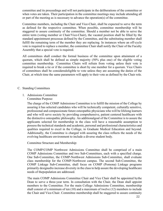committee and its proceedings and will not participate in the deliberations of the committee or when votes are taken. Their participation in the committee meetings may include attending all or part of the meeting as is necessary to advance the operation(s) of the committee.

Committee members, including the Chair and Vice-Chair, shall be expected to serve the term as defined for the respective committee. When possible, committee membership will be staggered to assure continuity of the committee. Should a member not be able to serve the entire term (voting member or Chair/Vice-Chair), the vacated position shall be filled by the standard appointment processas defined by the Committee, and the substituting member shall fulfill the remaining term of the member they are replacing. In instances where an off-cycle vote is required to replace a member, the committee Chair shall notify the Chair of the Faculty Assembly that a special vote is required.

All committees shall conduct the formal business of the committee upon attainment of a quorum, which shall be defined as simple majority (50% plus one) of the eligible voting committee membership. Committee Chairs will refrain from voting unless their vote is required to break a tie or if the committee is short by one member for a quorum. Vice Chairs of committees shall be consideredeligible to vote unless they are assuming the duties of the Chair, at which time the same parameters will apply to their vote as defined by the Chair role.

#### C. Standing Committees

1. Admissions Committee Committee Purpose:

> The charge of the COMP Admissions Committee is to fulfill the mission of the College by assuring it has selected candidates who will be technically competent, culturally sensitive, professional and compassionate future osteopathic physicians who will be lifelong learners and who will serve society by providing comprehensive, patient centered healthcare with the distinctive osteopathic philosophy. An additionalgoal of the Committee is to assure the applicants selected for membership in the class will have a reasonable assumption to possess the technical standards and academic, personal and professional characteristics and qualities required to excel in the College, in Graduate Medical Education and beyond. Additionally, the Committee is charged with assuring the class reflects the needs of the evolving healthcare environment to include a diverse student body.

Committee Structure and Membership:

The COMP/COMP Northwest Admissions Committee shall be comprised of a main COMP Admissions Committee and two Sub-Committees, each with a specified charge. One Sub-Committee, the COMP-Northwest Admissions Sub-Committee, shall evaluate class membership for the COMP-Northwest campus. The second Sub-Committee, the COMP Linkage Sub-Committee, shall focus on COMP (Pomona) Linkage programs primarily designed to increase diversity in the class to help assure the developing healthcare needs of thepopulation are addressed.

The main COMP Admissions Committee Chair and Vice Chair shall be appointed by the Dean to serve a three-year term. In consultation with the Chair, the Dean shall appoint members to the Committee. For the main College Admissions Committee, membership shall consist of a minimum of ten (10) and a maximum of twelve (12) members to include the Chair and Vice-Chair. Committee membership shall be staggered to assure continuity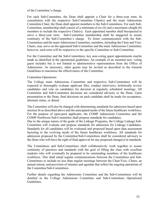of the Committee's charge.

For each Sub-Committee, the Dean shall appoint a Chair for a three-year term. In consultation with the respective Sub-Committee Chair(s) and the main Admissions Committee Chair, the Dean shall appoint members to the Sub-Committees. For each Sub-Committee, membership shall consist of a minimum of six (6) and a maximum ofeight (8) members to include the respective Chair(s). Each appointed member shall beexpected to serve a three-year term. Sub-Committee membership shall be staggered to assure continuity of the Sub-Committee's charge. To foster communication with the Sub-Committees and the main Admissions Committee, members, including the Chair and Vice-Chairs, may serve on the appointed Sub-Committee and the main Admissions Committee; however, each term will be respective to the specific Committee or Sub-Committee.

For the Committee and the Sub-Committees, key non-voting guest appointments maybe made as identified in the operational guidelines. An example of an essential non- voting guest includes but is not limited to administrative representation from the Office of Admissions. As necessary, other guests may be invited as described in the General Guidelines to maximize the effectiveness of the Committee.

#### Committee Operations:

The College main Admissions Committee and respective Sub-Committees will be expected to thoroughly evaluate applicant files, conduct interviews, holistically review candidates and vote on candidates for decision at regularly scheduled meetings. All Committee and Sub-Committee decisions are considered advisory to the Dean. Upon presentation to the Dean, final decisions on each candidate shall be made for acceptance, alternate status, or denial.

The Committee will also be charged with determining standards for admission based upon mission fit as described above and the anticipated needs of the future healthcare workforce. For the purpose of open-pool applicants, the COMP Admissions Committee and the COMP-Northwest Sub-Committee shall propose standards for candidates.

Due to the unique nature of the goals of the Linkage Programs, the College Linkage Sub-Committee will evaluate and propose standards for admission for Linkage Candidates. Standards for all candidates will be evaluated and proposed based upon data assessment factoring in the evolving needs of the future healthcare workforce. All standards for admission proposed by the Committee/Sub-Committees shall be considered advisory to the Dean who will have the right of final approval for any proposed change(s) in standards.

The Committees and Sub-Committees shall collaboratively work together to assure continuity of practices and standards with the goal of filling the class with excellent students who will eventually be prepared to be outstanding members of the healthcare workforce. This shall entail regular communications between the Committees and Sub-Committees to include no less than regular meetings between the Chair/Vice- Chairs, an annual retreat, and provision of minutes and agendas that reflect the ongoing operations of the Committee/Sub-Committees.

Further details regarding the Admissions Committee and the Sub-Committees will be detailed in the College Admissions Committee and Sub-Committees Operational Guidelines.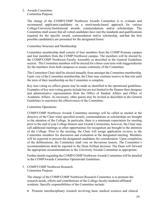#### 2. Awards Committee Committee Purpose:

The charge of the COMP/COMP Northwest Awards Committee is to evaluate and recommend applicants/candidates on a merit/needs-based approach for various College/University/Institutional awards, commendations and/or scholarships. The Committee shall assure that all vetted candidates have met the standards and qualifications required for the specific award, commendation and/or scholarship, and that the best possible candidate(s) are presented for the designated honor.

#### Committee Structure and Membership:

Committee membership shall consist of four members from the COMP-Pomona campus and four members from the COMP-Northwest campus. The members will be elected by the COMP/COMP Northwest Faculty Assembly as described in the General Guidelines section. The Committee members will be elected for a three-year term with staggeredterms for the members from both campuses to assure continuity of the Committee.

The Committee Chair shall be elected annually from amongst the Committee membership. Upon vote of the Committee membership, the Chair may continue toserve in that role until the term of their membership on the Committee is complete.

Key non-voting ex-officio guests may be made as identified in the operational guidelines. Examples of key non-voting guests include but are not limited to the Deanor their designee and administrative representation from the Office of Student Affairs and Office of Academic Affairs. As necessary, other guests may be invited as described in the General Guidelines to maximize the effectiveness of the Committee.

Committee Operations:

COMP/COMP Northwest Awards Committee meetings will be called as needed at the directive of the Chair when specified awards, commendations or scholarships are brought to the attention of the College. In particular, there is a minimum expectation for meeting prior to the end of year College Honors and Awards Ceremonies; however, the Chair may call additional meetings as other opportunities for recognition are brought to the attention of the College. Prior to the meeting, the Chair will assign application reviews to the Committee members for discussion and evaluation at the designated meeting. Members will be expected to present the designated candidates for consideration. Upon completion of the deliberations, the Committee shall vote on thevarious honors. The Committee's recommendations shall be reported to the Dean forfinal decision. The Dean will forward the appropriate recommendations to the University Awards Committee as appropriate.

Further details regarding the COMP/COMP Northwest Awards Committee will be detailed in the COMPAwards Committee Operational Guidelines.

3. COMP/COMP Northwest Research Committee Purpose:

The charge of the COMP/COMP Northwest Research Committee is to promote the research needs, efforts and contributions of the College faculty/students/affiliated residents. Specific responsibilities of the Committee include:

• Promote interdisciplinary research involving basic medical sciences and clinical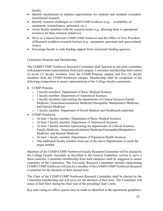faculty.

- Identify mechanisms to enhance opportunities for students and residents toconduct translational research.
- Identify research challenges at COMP/COMP Northwest (e.g., availability of equipment, researchspace, personnel, etc.).
- Assist faculty members with the research needs (e.g., directing them to appropriate resources for their research initiatives).
- Serve as a liaison between COMP/COMP Northwest and the Office of Vice President of Research toaddress research barriers (e.g., equipment, personnel and space-related issues).
- Encourage faculty to seek funding support from extramural funding agencies.

Committee Structure and Membership:

The COMP/COMP Northwest Research Committee shall function as one joint committee with proportionate representation from each campus. Committee membership shall consist of seven (7) faculty members from the COMP-Pomona campus and five (5) faculty members from the COMP-Northwest campus. Membership shall be comprised of the following composition to assure representation of the College faculty community.

- COMP-Pomona
	- o 2 faculty members: Department of Basic Medical Sciences
	- o 1 faculty member: Department of Anatomical Sciences
	- o 3 faculty members representing the departments of Clinical Sciences,Family Medicine, Neuromusculoskeletal Medicine/Osteopathic Manipulative Medicine, and Internal Medicine
	- o 1 faculty member: Department of Social Medical and HealthcareLeadership
- COMP-Northwest
	- o At least 1 faculty member: Department of Basic Medical Sciences
	- o At least 1 faculty member: Department of Anatomical Sciences
	- o At least 1 faculty member representing the departments of Clinical Sciences, Family Medicine, Neuromusculoskeletal Medicine/OsteopathicManipulative Medicine, and Internal Medicine
	- o At least 1 faculty member: Department of Population Health Sciences
	- o One additional faculty member from one of the above Departments to reach the target number

Members of the COMP/COMP Northwest Faculty Research Committee will be elected by the College Faculty Assembly as described in the General Guidelines section to serve a three-yearterm. Committee membership from both campuses shall be staggered to assure continuity of the Committee. The University Research Committee member representing COMP/COMP Northwest will also be a member of the COMP/COMP Northwest Research Committee for the duration of their elected term.

The Chair of the COMP/COMP Northwest Research Committee shall be elected by the Committee membership and will serve for the duration of their term. The Committee will select a Chair Elect during the final year of the presiding Chair's term.

Key non-voting ex-officio guests may be made as identified in the operational guidelines.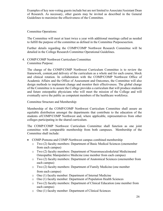Examples of key non-voting guests include but are not limited to Associate/Assistant Dean of Research. As necessary, other guests may be invited as described in the General Guidelines to maximize the effectiveness of the Committee.

Committee Operations:

The Committee will meet at least twice a year with additional meetings called as needed to fulfill the purpose of the committee as defined in the Committee Purposesection.

Further details regarding the COMP/COMP Northwest Research Committee will be detailed in the College Research Committee Operational Guidelines.

4. COMP/COMP Northwest Curriculum Committee Committee Purpose:

The charge of the COMP/COMP Northwest Curriculum Committee is to review the framework, content,and delivery of the curriculum as a whole and for each course, block and clinical rotation. In collaboration with the COMP/COMP Northwest Office of Academic Affairs and the Office of Assessment and Outcomes, the Committee will also design methods to implement change and monitor their effectiveness. The global charge of the Committee is to assure the College provides a curriculum that will produce students and future osteopathic physicians who will meet the mission of the College and will eventually serve the public as competent members of the healthcare workforce.

Committee Structure and Membership:

Membership of the COMP/COMP Northwest Curriculum Committee shall assure an equitable distribution amongst the departments that contribute to the education of the students ofCOMP/COMP Northwest and, where applicable, representatives from other colleges participating in the shared curriculum.

The COMP/COMP Northwest Curriculum Committee shall function as one joint committee with comparable membership from both campuses. Membership of the Committee shall include:

- COMP-Pomona and COMP-Northwest campus combined membership
	- o Two (2) faculty members: Department of Basic Medical Sciences (onemember from each campus)
	- o Two (2) faculty members: Department of Neuromusculoskeletal Medicineand Osteopathic Manipulative Medicine (one member from each campus)
	- o Two (2) faculty members: Department of Anatomical Sciences (onemember from each campus)
	- o Two (2) faculty members: Department of Family Medicine (one member from each campus)
	- o One (1) faculty member: Department of Internal Medicine
	- o One (1) faculty member: Department of Population Health Sciences
	- o Two (2) faculty members: Department of Clinical Education (one member from each campus)
	- o One (1) faculty member: Department of Clinical Sciences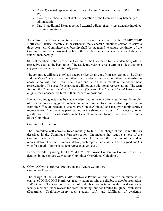- o Two (2) elected representatives from each class from each campus (OMS I,II, III, IV)
- o Two (2) members appointed at the discretion of the Dean who may befaculty or administration
- $\circ$  One (1) additional Dean appointed external adjunct faculty representative involved in clinical rotations

Aside from the Dean appointments, members shall be elected by the COMP/COMP Northwest FacultyAssembly as described in the General Guidelines section to serve a three-year term.Committee membership shall be staggered to assure continuity of the Committee, so that approximately 1/3 of the members are electedeach year excluding the student membership.

Student members of the Curriculum Committee shall be elected by the student body oftheir respective class at the beginning of the academic year to serve a term of no less than one (1) year and no more than four (4) years.

The committee will have one Chair and two Vice-Chairs, one from each campus. The Chair and the Vice-Chairs of the Committee shall be elected by the Committee membership in consultation with the Dean. The Chair and Vice-Chairs maintain their department representation. The specific department will not gain additional representation. The term for both the Chair and the Vice-Chairs is two (2) years. TheChair and Vice-Chairs are not eligible for a consecutive term in their respective positions.

Key non-voting guests may be made as identified in the operational guidelines. Examples of essential non-voting guests include but are not limited to administrative representation from the Office of Academic Affairs (Pre-Clinical/Clinical) and facultyor administrative representation from colleges participating in the shared curriculum. As necessary, other guests may be invited as described in the General Guidelines to maximize the effectiveness of the Committee.

Committee Operations:

The Committee will convene twice monthly to fulfill the charge of the Committee as described in the Committee Purpose section. On matters that require a vote of the Committee each member shall be assigned one (1) vote with the exception of the student representation. For student representation, each represented class will be assigned one (1) vote for a total of four (4) student representative votes.

Further details regarding the COMP/COMP Northwest Curriculum Committee will be detailed in the College Curriculum Committee Operational Guidelines.

5. COMP/COMP Northwest Promotion and Tenure Committee Committee Purpose:

The charge of the COMP/COMP Northwest Promotion and Tenure Committee is to evaluate COMP/COMP Northwest faculty members who are eligible or due for promotion and/or tenure. The Committee, as part of its deliberation, is tasked with considering each faculty member under review for areas including, but not limited to, global evaluation (Department Chair/supervisor/ peer/ student/ self), and fulfillment of academic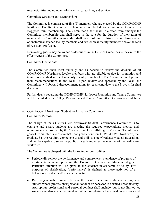responsibilities including scholarly activity, teaching and service.

Committee Structure and Membership:

The Committee is comprised of five (5) members who are elected by the COMP/COMP Northwest Faculty Assembly. Each member is elected for a three-year term with a staggered term membership. The Committee Chair shall be elected from amongst the Committee membership and shall serve in the role for the duration of their term of membership. Committee membership shall consist of three full-time tenured basic science or anatomical science faculty members and two clinical faculty members above the rank of Assistant Professor.

Non-voting guests may be invited as described in the General Guidelines to maximize the effectiveness of the Committee.

Committee Operations:

The Committee shall meet annually and as needed to review the dossiers of all COMP/COMP Northwest faculty members who are eligible or due for promotion and tenure as specified in the University Faculty Handbook. The Committee will provide their recommendations to the Dean. Upon review and approval by the Dean, the Committee will forward the recommendations for each candidate to the Provost for final decision.

Further details regarding the COMP/COMP Northwest Promotion and Tenure Committee will be detailed in the College Promotion and Tenure Committee Operational Guidelines.

#### 6. COMP/COMP Northwest Student Performance Committee

Committee Purpose:

The charge of the COMP/COMP Northwest Student Performance Committee is to evaluate and assure students are meeting the required expectations, metrics and requirements determined by the College to include fulfilling its Mission. The ultimate goal of Committee is to assure that upon graduation from COMP/COMP Northwest, the graduate has the required competencies and skills to enter Graduate Medical Education, and will be capable to serve the public as a safe and effective member of the healthcare workforce.

The Committee is charged with the following responsibilities:

- Periodically review the performance and comprehensive evidence of progress of all students who are pursuing the Doctor of Osteopathic Medicine degree. Particular attention will be given to the students in academic difficulty. For purposes of clarification, "performance" is defined as those activities of a behavioral-conduct and/or academic nature.
- Receiving reports from members of the faculty or administration regarding any student whose professional/personal conduct or behavior is deemed unsatisfactory. Appropriate professional and personal conduct shall include, but is not limited to, student attendance at all required activities, completing all assigned course work and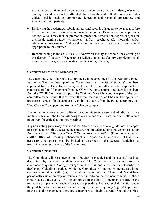examinations on time, and a cooperative attitude toward fellow students, WesternU employees, and personnel of affiliated clinical rotation sites. It additionally includes ethical decision-making, appropriate demeanor and personal appearance, and interactions with patients.

- Reviewing the academic/professional/personal records of students who appear before the committee and make a recommendation to the Dean regarding appropriate actions.Actions may include promotion, probation, remediation, repeat, suspension, dismissal, administrative withdrawal, and/or psychological, medical, and/or educational assessment. Additional action(s) may be recommended as deemed appropriate to the situation.
- Recommending to the COMP/COMP Northwest faculty as a whole, the awarding of the degree of Doctorof Osteopathic Medicine upon satisfactory completion of all requirements for graduation as stated in the College Catalog.

#### Committee Structure and Membership:

The Chair and Vice-Chair of the Committee will be appointed by the Dean for a threeyear term. The membership of the Committee shall consist of eight (8) members appointed by the Dean for a three-year term. The Committee membership shall be comprised of four (4) members from the COMP-Pomona campus and four (4) members from the COMP-Northwest campus. The Chair and Vice-Chair count as part of the total committee membership. It is expected that the Chair and Vice-Chair will be appointed toassure coverage of both campuses (e.g., if the Chair is from the Pomona campus, the Vice-Chair will be appointed from the Lebanon campus).

Due to the imperative responsibility of the Committee to review and adjudicate matters ina timely fashion, the Dean will designate a number of alternates to assure attainment of quorum for critical committee meetings.

Key non-voting guests may be made as identified in the operational guidelines. Examples of essential non-voting guests include but are not limited to administrative representation from the Office of Student Affairs, Office of Academic Affairs (Pre-Clinical/Clinical) andthe Office of Learning Enhancement and Academic Development (LEAD). As necessary, other guests may be invited as described in the General Guidelines to maximize the effectiveness of the Committee.

#### Committee Operations:

The Committee will be convened on a regularly scheduled and "as-needed" basis as determined by the Chair or their designee. The Committee will operate based on attainment of quorum. Voting privileges for the Chair and Vice-Chair are described in theGeneral Guidelines section. While the Committee will normally operate as a jointcampus committee with (eight) members including the Chair and Vice-Chair, periodicallya situation may warrant a sub-set specific to the pertinent campus. In those circumstances, the sub-set will be comprised of the four (4) members specific to the respective campus with the Chair/Vice-Chair presiding. That subset shall function under the guidelines for quorum specific to the required convening body (e.g., 50% plus one of the attending members; therefore 3 members to obtain quorum.) Should the Vice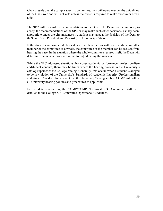Chair preside over the campus specific committee, they will operate under the guidelines of the Chair role and will not vote unless their vote is required to make quorum or break a tie.

The SPC will forward its recommendations to the Dean. The Dean has the authority to accept the recommendations of the SPC or may make such other decisions, as they deem appropriate under the circumstances. A student may appeal the decision of the Dean to theSenior Vice President and Provost (See University Catalog).

If the student can bring credible evidence that there is bias within a specific committee member or the committee as a whole, the committee or the member can be recused from hearing the case. In the situation where the whole committee recuses itself, the Dean will determine the most appropriate venue for adjudicating the issue(s).

While the SPC addresses situations that cover academic performance, professionalism andstudent conduct; there may be times where the hearing process in the University's catalog supersedes the College catalog. Generally, this occurs when a student is alleged to be in violation of the University's Standards of Academic Integrity, Professionalism and Student Conduct. In the event that the University Catalog applies, COMP will follow all University hearing policies and procedures as applicable.

Further details regarding the COMP/COMP Northwest SPC Committee will be detailed in the College SPCCommittee Operational Guidelines.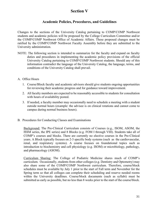# **Section V**

# **Academic Policies, Procedures, and Guidelines**

Changes to the sections of the University Catalog pertaining to COMP/COMP Northwest students and academic policies will be proposed by the College Curriculum Committee and/or the COMP/COMP Northwest Office of Academic Affairs. These proposed changes must be ratified by the COMP/COMP Northwest Faculty Assembly before they are submitted to the University administration.

- NOTE: The following section is intended to summarize for the faculty and expand on faculty duties and procedures in implementing the academic policy provisions of the official University Catalog pertaining to COMP/COMP Northwest students. Should any of this information contradict the language of the University Catalog, the language, terms, and conditions of the University Catalog shall prevail.
- A. Office Hours
	- 1. Course/Block faculty and academic advisors should give students ongoing opportunities for reviewing their academic progress and for guidance toward improvement.
	- 2. All faculty members are expected to be reasonably accessible to students for consultation with hours of availability posted.
	- 3. If needed, a faculty member may occasionally need to schedule a meeting with a student outside normal hours (example: the advisee is on clinical rotations and cannot come to campus during normal business hours).
- B. Procedures for Conducting Classes and Examinations

Background: The Pre-Clinical Curriculum consists of Courses (e.g., ISOM, ASOM, the ISSM series, the IPE series) and 8 Blocks (e.g. FOM I through VIII). Students take all of COMP's courses and blocks. There are currently no elective courses in the Pre-Clinical years. A Block typically focuses on 2-3 specific body systems (such as the cardiovascular, renal, and respiratory systems). A course focuses on foundational topics such as introduction to biochemistry and cell physiology (e.g. ISOM) or microbiology, pathology, and pharmacology (ASOM).

Curriculum Sharing: The College of Podiatric Medicine shares much of COMP's curriculum. Occasionally, students from other colleges (e.g. Dentistry and Optometry) may also share some of the COMP/COMP Northwest curriculum. Therefore, course/block schedules must be available by July 1 prior to the start of Fall term and November for the Spring term so that all colleges can complete their scheduling and reserve needed rooms within the University deadlines. Course/block documents (such as syllabi) must be submitted as early as possible, but no less than 8 weeks prior to the start of the course/block.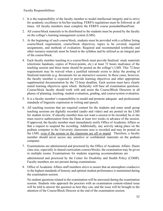Faculty Responsibilities:

- 1. It is the responsibility of the faculty member to model intellectual integrity and to strive for academic excellence in his/her teaching. FERPA regulations must be followed at all times. All faculty members must complete the FERPA course postedonSharePoint.
- 2. All course/block materials to be distributed to the students must be posted by the faculty on the college's learning management system (LMS).
- 3. At the beginning of each course/block, students must be provided with a syllabus listing course/block requirement, course/block objectives, topics to be covered, required assignments, and methods of evaluation. Required and recommended textbooks and other resource materials must be listed in the syllabus and be utilized as an integral part of the course/block.
- 4. Each faculty member teaching in a course/block must provide finalized study materials (electronic handouts, copies of Power-points, etc.) at least 72 hours inadvance of the teaching session and these items should be posted on the college's LMS. This 72-hour requirement may be waived when a justified rationale exists to delay the posting of finalized materials (e.g. documents for an interactive session). In these cases, however, the faculty member is expected to provide learning objectives and other appropriate supplemental documentation by the 72-hour deadline. Each session must have clearly stated learning objectives upon which thefaculty will base all examination questions. Course/block faculty should work with and assist the Course/Block Directors in all phases of planning, teaching, student evaluation, grading, and course/system evaluation.
- 5. It is a faculty member's responsibility to model and promote adequate and professional standards of linguistic expression in writing and speech.
- 6. All teaching sessions that are required content for the students and some small group teaching sessions are digitally recorded (audio and video) and are posted on the LMS for student review. If afaculty member does not want a session to be recorded, he or she must receive authorization from the Dean at least two weeks in advance of the session. If approved, the faculty member must immediately notify Office of Academic Affairs so that a request to suspend the recording. Additionally, any activity taking place on the podium computer in the University classrooms area is recorded and may be posted on the LMS, even if the screens in the classroom are off or muted. Therefore, a faculty member should never access any sensitive or confidential materials on the podium computer.
- 7. Examinations are administered and proctored by the Office of Academic Affairs. Dueto class size, especially in shared-curriculum courses/blocks, the examination may be given in multiple rooms. Examinations for students requiring accommodations are

administered and proctored by the Center for Disability and Health Policy (CDHP). Faculty members are not present during examinations.

8. Office of Academic Affairs staff members strive to assure that an atmosphere conducive to the highest standards of honesty and optimal student performance is maintained during the examination session.

No student questions related to the examination will be answered during the examination session. Students who approach the proctors with an examination content-related issue will be told to answer the question as best they can, and the issue will be brought to the attention of the Course/Block Director at the end of the examination session.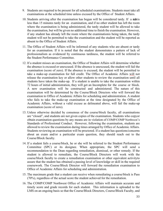- 9. Students are required to be present for all scheduled examinations. Students must take all examinations at the scheduled time unless excused by the Office of Student Affairs.
- 10. Students arriving after the examination has begun will be considered tardy. If a studient less than 15 minutes tardy for an examination, and if no other student has left the room where the examination is being administered, the tardy student will be allowed to take the examination, but will be given no additional time to finish the examination. However, if any student has already left the room where the examinationis being taken, the tardy student will not be permitted to take the examination and the student will be reported as absent to the Office of Student Affairs.
- 11. The Office of Student Affairs will be informed of any students who are absent or tardy for an examination. If it is noted that the student demonstrates a pattern of lack of professionalism as evidenced by continuous tardiness, the student will be referred to the Student Performance Committee.
- 12. If a student misses an examination, the Office of Student Affairs will determine whether the absence is excused or unexcused. If the absence is unexcused, the student will fail the examination (score of zero). If the absence is excused, the student will be permitted to take a make-up examination for full credit. The Office of Academic Affairs will not release the examination key or allow other students to review the examination until all students have taken the make-up. If a student is unable to take the examination within 72 hours of initial administration, they will get an Incomplete for the course or block. A new examination will be constructed and administered. The nature of this examination will be determined by the Course/Block Directors who will forward the examination to Office of Academic Affairs for scheduling and administration. A student who fails to take the make-up examination at the time designated by the Office of Academic Affairs, without a valid excuse as delineated above, will fail the make-up examination (score of zero).
- 13. Unless otherwise decided by consensus of the course/block faculty, all examinations are "closed", and students are not given copies of the examination. Students who copyor obtain examination questions by any means are in violation of COMP/COMP Northwest's Standards of Professional Conduct. However, following the examination, students are allowed to review the examination during times arranged by Office of Academic Affairs. Students reviewing an examination will be proctored. If a student has questions/concerns about an exam and/or a particular exam question, they should reach out to the Course/Block faculty.
- 14. If a student fails a course/block, he or she will be referred to the Student Performance Committee (SPC) or its designee. When appropriate, the SPC will send a recommendation to the Dean regarding remediation, dismissal, or other remedy. If the student is allowed to remediate, the Course/Block Directors will work with the course/block faculty to create a remediation examination or other equivalent activityto assure that the student has obtained a passing level of knowledge or skill in the required coursework. The Course/Block Director will forward the remediation examination to Office of Academic Affairs for scheduling and administration.
- 15. The maximum grade that a student can receive when remediating a course/block is Pass (70%), regardless of the actual score the student achieved for the remediation.
- 16. The COMP/COMP Northwest Office of Academic Affairs will maintain accurate and timely score and grade records for each student. This information is uploaded to the LMS on an ongoing basis so that the Course/Block Directors, Course/Block Faculty, and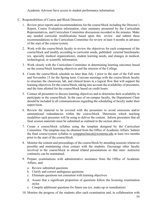Academic Advisors have access to student performance information.

- C. Responsibilities of Course and Block Directors
	- 1. Review prior reports and recommendations for the course/block including the Director's Report, Course Evaluation information, class summary presented by the Curriculum Representatives, and Curriculum Committee discussions recorded in the minutes. Make any needed curricular modifications based upon this review and submit these recommendations to the Curriculum Committee for review at least 4 months in advance of the start of the course/system.
	- 2. Work with the course/block faculty to review the objectives for each component of the course/block and modify according to curricular needs, published external benchmarks (ex. specialty medical organizations), student learning needs, and changes in medical, technological, or scientific information.
	- 3. Work closely with the Curriculum Committee in determining learning outcomes based on the course/block learning objectives and the mission of the College.
	- 4. Create the course/block schedule no later than July 1 prior to the start of the Fall term and November 15 for the Spring term. Convene meetings with the course/block faculty to structure the classroom, lab, and clinical hours in a logical flow that will support the learning objectives for the course/block, taking into account the availability of presenters, and the time allotted for the course/block based on credit hours.
	- 5. Contact all presenters to discuss learning objectives and to determine their availability to participate in the course/block. In the case of on-campus faculty, the Department Chair should be included in all communications regarding the scheduling of faculty under their supervision.
	- 6. Review the material to be covered with the presenters to avoid omissions and/or unintentional redundancies within the course/block. Determine which teaching modalities each presenter will be using to deliver the content. Inform presenters that all final session materials must be submitted as outlined in the section above.
	- 7. Create a course/block syllabus using the template designed by the Curriculum Committee. The template may be obtained from the Office of Academic Affairs. Submit the final course/system syllabus to [comppreclinical@westernu.edu](mailto:comppreclinical@westernu.edu) at least two months prior to the start of the course/block.
	- 8. Monitor the content and proceedings of the course/block by attending sessions whenever possible and maintaining close contact with the students. Encourage other faculty involved in the course/block to attend related presentations so that inter- instructor continuity can be maintained.
	- 9. Prepare examinations with administrative assistance from the Office of Academic Affairs, and:
		- a. Review submitted questions
		- b. Clarify and correct ambiguous questions
		- c. Eliminate questions not consistent with learning objectives
		- d. Assure that a significant proportion of questions follow the licensing examination styles
		- e. Compile additional questions for future use (ex. make-up or remediation)
	- 10. Monitor the progress of the students after each examination and, in collaboration with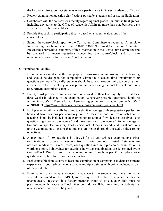the faculty advisors, contact students whose performance indicates academic difficulty.

- 11. Review examination question clarifications posted by students and assist inadjudication.
- 12. Collaborate with the course/block faculty regarding final grades. Submit the final grades, including any curve, to the Office of Academic Affairs no more than nine business days after the end of the course/block.
- 13. Provide feedback to participating faculty based on student evaluations of the course/block.
- 14. Submit the course/block report to the Curriculum Committee as requested. A template for reporting may be obtained from COMP/COMP Northwest Curriculum Committee. Present the course/block summary of this information to the Curriculum Committee and be prepared to answer questions concerning the course/block and to make recommendations for future course/block sessions.

#### D. Examination Policies

- 1. Examinations should serve the dual purpose of assessing and improving student learning and should be designed for completion within the allocated time (maximumof 50 questions per hour). Typically, students should be given the opportunity to compare their answers with the official key, unless prohibited when using national testbank questions (e.g. NBME customized exams).
- 2. Faculty must provide examination questions based on their learning objectives at least three weeks in advance of the examination. Whenever possible, questions should be written in a COMLEX-style format. Item writing guides are available from the NBOME or NBME at <https://www.nbme.org/publications/item-writing-manual.html>
- 3. Each presenter will typically be asked to submit an average of three questions per lecture hour and two questions per laboratory hour. At least one question from each hour of teaching should be included on an examination (example: if two lectures are given, one question might come from lecture 1 and three questions from lecture 2, for an average of two questions per lecture hour). The Course/Block Director may add additional questions to the examination to ensure that students are being thoroughly tested on thelearning objectives.
- 4. A maximum of 150 questions is allowed for all course/block examinations. Final examinations may contain questions from material previously tested if students are notified in advance. In most cases, each question in a multiple-choice examination is worth one point. Point values for questions in written examinations are determined bythe Course/Block Directors and Faculty. A minimum of one hour per 50 multiple- choice questions must be allotted for the examination.
- 5. Each course/block must have at least one examination or comparable student assessment experience. A course/block may also have multiple quizzes with points included as part of the point total.
- 6. Examinations are always announced in advance to the students and the examination schedule is posted on the LMS. Quizzes may be scheduled in advance or may be unannounced. However, if a faculty member wants to give a quiz, this must be prearranged with the Course/Block Directors and the syllabus must inform students that unannounced quizzes will be given.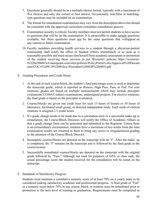- 7. Questions generally should be in a multiple-choice format, typically with a maximum of five choices and only one correct or best answer. Occasionally, true/false or matchingtype questions may be included on an examination.
- 8. The format for remediation examinations may vary from the description above but should be consistent with the approved curriculum committee remediation process.
- 9. Examination security is critical. Faculty members must not permit students to have access to questions that will be on the examination. It is permissible to make sample questions available, but these questions must not be the same questions that willappear on any current or future examination.
- 10. Faculty members providing health services to a student through a physician-patient relationship shall notify the office of Student Affairs immediately or as soon as is reasonably possible and must recuse him/herself from academic assessment or promotion of the student receiving those services as per WesternU policies https://westernu-83220a1bb607c8.sharepoint.com/sites/policies/PolicyPortal/Lists/Approved%20Docum ents/COCA%209.10%20Policy-Procedure%20SOP%20(005).pdf
- E. Grading Procedures and Credit Hours
	- 1. At the end of each course/block, the student's final percentage score is used to determine the transcript grade, which is reported as Honors, High Pass, Pass, or Fail. For core rotations, grades are based on multiple measurements which may include preceptor evaluations, COMAT subject examinations, andassigned projects. For elective rotations, the final grade is based on the preceptor evaluation.
	- 2. Courses/blocks are given one credit hour for each 15 hours of lecture or 30 hours of laboratory, facilitated small group, or directed independent study. Each week of clinical rotations is assigned 2.5 credit hours.
	- 3. If a grade change needs to be made due to a calculation error or a successful make-up or remediation, the Course/Block Directors will notify the Office of Academic Affairs so that a grade change form can be generated and submitted to the Registrar. Unless there is an extraordinary circumstance, students have a maximum of two weeks from the time examination results are returned to them to bring any errors or irregularitiesin grading to the attention of the Course/Block Director.
	- 4. Incomplete courses/blocks are denoted on the transcript with an "I". After the make- up is completed, the "I" remains on the transcript and is followed by the final grade in the course/system.
	- 5. Successfully remediated courses/blocks are denoted on the transcript with the original grade followed by "Pass." Although not used for purposes of GPA or class rank, the actual percentage score the student received for the remediation will be noted on the transcript.
- F. Standards of Satisfactory Progress

Students must maintain a cumulative numeric score of at least 70% on a yearly basis to be considered making satisfactory academic and professional progress. A final grade of "Fail" or a numeric score below 70% in any course, block, or rotation must be remediated prior to promotion to the next level of training or graduation. Requirements must be completed as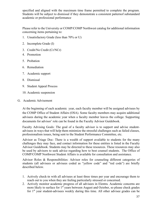specified and aligned with the maximum time frame permitted to complete the program. Students will be subject to dismissal if they demonstrate a consistent patternof substandard academic or professional performance

Please refer to the University or COMP/COMP Northwest catalog for additional information concerning items pertaining to:

- 1. Unsatisfactory Grade (less than 70% or U)
- 2. Incomplete Grade (I)
- 3. Credit/No Credit (Cr/NCr)
- 4. Promotion
- 5. Probation
- 6. Remediation
- 7. Academic support
- 8. Dismissal
- 9. Student Appeal Process
- 10. Academic suspension

#### G. Academic Advisement

At the beginning of each academic year, each faculty member will be assigned advisees by the COMP Office of Student Affairs (OSA). Some faculty members may acquire additional advisees during the academic year when a faculty member leaves the college. Supporting documents for advisor' role can be found in the Faculty Advisor Guidebook.

Faculty Advising Goals: The goal of a faculty advisor is to support and advise studentadvisees in ways that will help them minimize the stressful challenges such as failed classes, professionalism issues, being sent to the Student Performance Committee, etc.

Advisor as Triage Doc: There is a wealth of support available to students for the many challenges they may face, and contact information for these entities is listed in the Faculty Advisor Guidebook. Students may be directed to these resources. These resources may also be used by advisors to seek advice regarding how to best counsel students. The Office of COMP/COMP Northwest Student Affairs is available for consultation and assistance.

Advisor Roles & Responsibilities: Advisor roles for counseling different categories of students (all advisees or advisees coded as "yellow code" and "red code") are briefly described below.

- 1. Actively check-in with all advisees at least three times per year and encourage them to reach out to you when they are feeling particularly stressed or concerned.
- 2. Actively monitor academic progress of all advisees in Elentra. Academic concerns are more likely to surface for  $1<sup>st</sup>$  years between August and October, so please check grades for  $1<sup>st</sup>$  year student-advisees weekly during this time. All other advisee grades can be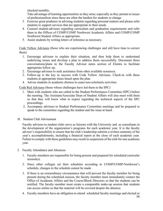checked monthly.

Take advantage of learning opportunities as they arise; especially as they pertain to issues of professionalism since these are often the hardest for students to change.

- 3. Exercise great prudence in advising students regarding personal matters and please refer students to support services that are appropriate to their needs.
- 4. Counsel student-advisees regarding curriculum and graduation requirements and refer them to the Offices of COMP/COMP Northwest Academic Affairs and COMP/COMP Northwest Student Affairs as appropriate.
- 5. Assist students by writing letters of reference as necessary.

Code Yellow Advisees (those who are experiencing challenges and still have time to correct them)

- 1. Encourage advisees to explain their situation, and then help them to understand underlying issues and develop a plan to address them successfully. Document these conversations/plans in the Faculty Advisor notes section of Elentra to facilitate appropriate follow up.
- 2. Encourage advisees to seek assistance from other available resources.
- 3. Follow-up is the key to success with Code Yellow Advisees. Check-in with these students at appropriate times based upon the plan.
- 4. Advise students in academic distress to cease non-scholastic activities.

Code Red Advisees (those whose challenges have led them to the SPC)

- 1. Meet with students who are called to the Student Performance Committee (SPC) before the meeting. The Assistant/Associate Dean of Student Affairs will also meet with them so that they will know what to expect regarding the technical aspects of the SPC proceedings.
- 2. Accompany advisees to Student Performance Committee meetings and be prepared to speak to the committee regarding the student and the issue at hand.
- H. Student Club Advisement

Faculty advisors to student clubs serve as liaisons with the University and as consultants in the development of the organization's programs for each academic year. It is the faculty advisor's responsibility to ensure that the club's leadership submits a written summary of the year's accomplishments, including a financial report at the close of each academic year. Failure to comply with these guidelines may result in suspension of the club for one academic year.

- I. Faculty Attendance and Absences
	- 1. Faculty members are responsible for being present and prepared for scheduled curricular session(s).
	- 2. Since other colleges set their schedules according to COMP/COMP-Northwest's schedule, changes to the schedule cannot be made.
	- 3. If there is an extraordinary circumstance that will prevent the faculty member for being present during the scheduled session, the faculty member must immediately contact the Office of Academic Affairs and the Course/Block Directors so that the students can be notified. The faculty member must create a comparable make-up session that students can access online so that the material will be covered despite the absence.
	- 38 4. Faculty members have an obligation to attend scheduled faculty meetings and elected or